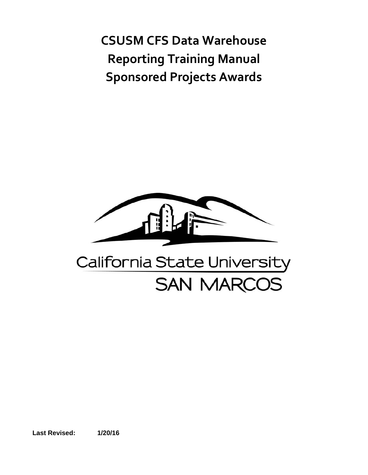**CSUSM CFS Data Warehouse Reporting Training Manual Sponsored Projects Awards**



**Last Revised: 1/20/16**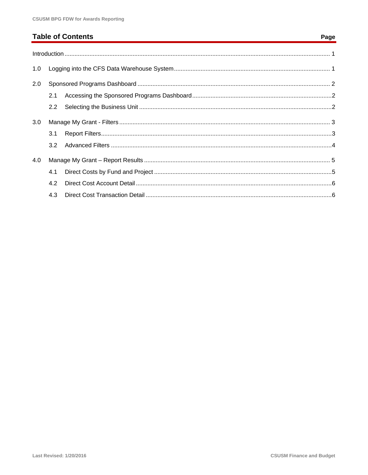# **Table of Contents**

| 1.0 |     |  |  |  |
|-----|-----|--|--|--|
| 2.0 |     |  |  |  |
|     | 2.1 |  |  |  |
|     | 2.2 |  |  |  |
| 3.0 |     |  |  |  |
|     | 3.1 |  |  |  |
|     | 3.2 |  |  |  |
| 4.0 |     |  |  |  |
|     | 4.1 |  |  |  |
|     | 4.2 |  |  |  |
|     | 4.3 |  |  |  |

#### Page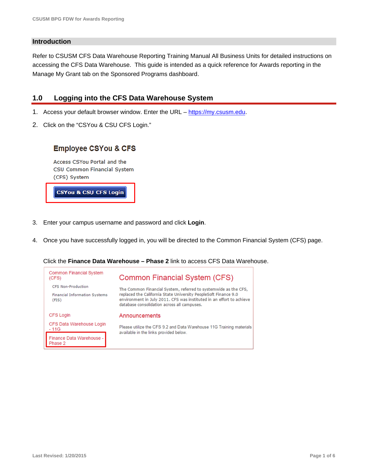#### **Introduction**

Refer to CSUSM CFS Data Warehouse Reporting Training Manual All Business Units for detailed instructions on accessing the CFS Data Warehouse. This guide is intended as a quick reference for Awards reporting in the Manage My Grant tab on the Sponsored Programs dashboard.

#### **1.0 Logging into the CFS Data Warehouse System**

- 1. Access your default browser window. Enter the URL https://my.csusm.edu.
- 2. Click on the "CSYou & CSU CFS Login."

#### **Employee CSYou & CFS**

Access CSYou Portal and the CSU Common Financial System (CFS) System

**CSYOU & CSU CFS Login** 

- 3. Enter your campus username and password and click **Login**.
- 4. Once you have successfully logged in, you will be directed to the Common Financial System (CFS) page.

Click the **Finance Data Warehouse – Phase 2** link to access CFS Data Warehouse.

| Common Financial System<br>(CFS)              | Common Financial System (CFS)                                                                                                                                                          |  |
|-----------------------------------------------|----------------------------------------------------------------------------------------------------------------------------------------------------------------------------------------|--|
| <b>CFS Non-Production</b>                     | The Common Financial System, referred to systemwide as the CFS,                                                                                                                        |  |
| <b>Financial Information Systems</b><br>(FIS) | replaced the California State University PeopleSoft Finance 9.0<br>environment in July 2011. CFS was instituted in an effort to achieve<br>database consolidation across all campuses. |  |
| <b>CFS Login</b>                              | Announcements                                                                                                                                                                          |  |
| CFS Data Warehouse Login<br>- 11G             | Please utilize the CFS 9.2 and Data Warehouse 11G Training materials<br>available in the links provided below.                                                                         |  |
| Finance Data Warehouse -                      |                                                                                                                                                                                        |  |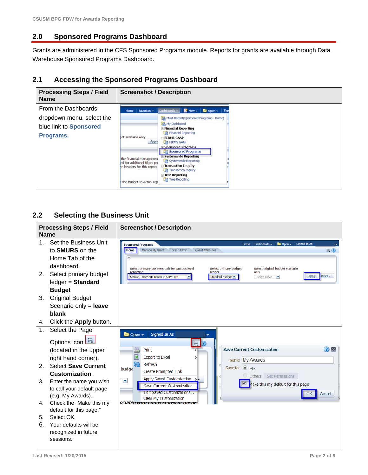# **2.0 Sponsored Programs Dashboard**

Grants are administered in the CFS Sponsored Programs module. Reports for grants are available through Data Warehouse Sponsored Programs Dashboard.

#### **2.1 Accessing the Sponsored Programs Dashboard**

| <b>Processing Steps / Field</b><br><b>Name</b>                                          | <b>Screenshot / Description</b>                                                                                                                                                                                                                                                                                                                                                                                                                                                                                                                                                                                                                 |  |
|-----------------------------------------------------------------------------------------|-------------------------------------------------------------------------------------------------------------------------------------------------------------------------------------------------------------------------------------------------------------------------------------------------------------------------------------------------------------------------------------------------------------------------------------------------------------------------------------------------------------------------------------------------------------------------------------------------------------------------------------------------|--|
| From the Dashboards<br>dropdown menu, select the<br>blue link to Sponsored<br>Programs. | Dashboards $\mathbf{v}$ New $\mathbf{v}$<br>Favorites -<br>Open v Sigi<br>Home<br>Most Recent(Sponsored Programs - Home)<br>My Dashboard<br>$\equiv$ Financial Reporting<br><b>Em Financial Reporting</b><br>let scenario only<br><b>E FIRMS GAAP</b><br>Apply<br>FIRMS GAAP<br><b>El Sponsored Programs</b><br>Sponsored Programs<br><b>□ Systemwide Reporting</b><br>the financial management<br><b>The Systemwide Reporting</b><br>led for additional filters pro<br><b>□ Transaction Inquiry</b><br>in headers for this report<br><b>Transaction Inquiry</b><br>$\equiv$ Tree Reporting<br><b>The Reporting</b><br>the Budget-to-Actual rep |  |

# **2.2 Selecting the Business Unit**

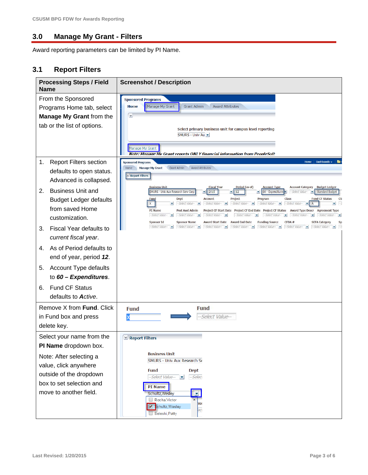#### **3.0 Manage My Grant - Filters**

Award reporting parameters can be limited by PI Name.

### **3.1 Report Filters**

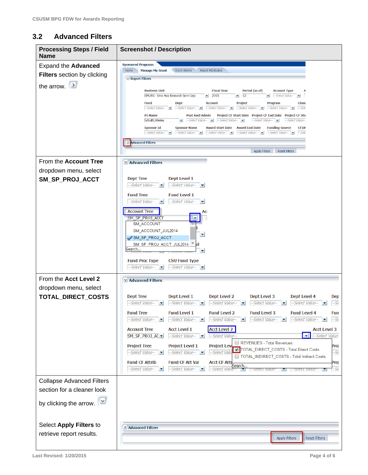# **3.2 Advanced Filters**

| <b>Processing Steps / Field</b><br><b>Name</b>                                                                                                                 | <b>Screenshot / Description</b>                                                                                                                                                                                                                                                                                                                                                                                                                                                                                                                                                                                                                                                                                                                                                                                                                                                                                                                                                                                                                                                                                                                                                                                                                                                                                             |
|----------------------------------------------------------------------------------------------------------------------------------------------------------------|-----------------------------------------------------------------------------------------------------------------------------------------------------------------------------------------------------------------------------------------------------------------------------------------------------------------------------------------------------------------------------------------------------------------------------------------------------------------------------------------------------------------------------------------------------------------------------------------------------------------------------------------------------------------------------------------------------------------------------------------------------------------------------------------------------------------------------------------------------------------------------------------------------------------------------------------------------------------------------------------------------------------------------------------------------------------------------------------------------------------------------------------------------------------------------------------------------------------------------------------------------------------------------------------------------------------------------|
| <b>Expand the Advanced</b><br><b>Filters</b> section by clicking<br>the arrow. $\rightarrow$                                                                   | <b>Sponsored Programs</b><br>Grant Admin<br><b>Award Attributes</b><br>Home<br><b>Manage My Grant</b><br>$\vee$ Report Filters<br><b>Fiscal Year</b><br><b>Business Unit</b><br>Period (as of)<br><b>Account Type</b><br>Α<br>12<br>Select Value-<br>SMURS - Univ Aux Research Serv Corp<br>2015<br>×<br>▼<br>$\overline{\phantom{a}}$<br><b>Fund</b><br><b>Dept</b><br><b>Account</b><br><b>Project</b><br>Program<br><b>Class</b><br>--Select Value- v --Select Value- v --Select Value- v --Select Value- v --Select Value- v --Sele<br>Project CF Start Date Project CF End Date Project CF Sta<br>PI Name<br>Post Awd Admin<br>Schultz, Wesley<br>$\bullet$ --Select Value- $\bullet$ --Select Value- $\bullet$<br>--Select Value-<br>--Select Value--<br>Award Start Date Award End Date<br><b>Funding Source</b><br><b>Sponsor Id</b><br><b>Sponsor Name</b><br><b>CFDA</b><br>--Select Value- v<br>--Select Value- v --Select Value- v --Select Value- v<br>$-Sele$<br>> Advanced Filters                                                                                                                                                                                                                                                                                                                           |
| From the Account Tree<br>dropdown menu, select<br>SM_SP_PROJ_ACCT                                                                                              | <b>Apply Filters</b><br><b>Reset Filters</b><br>$\vee$ Advanced Filters<br><b>Dept Tree</b><br>Dept Level 1<br>--Select Value--<br>--Select Value--<br>$\overline{\phantom{a}}$<br><b>Fund Level 1</b><br><b>Fund Tree</b><br>--Select Value-<br>--Select Value--<br><b>Account Tree</b><br>AC                                                                                                                                                                                                                                                                                                                                                                                                                                                                                                                                                                                                                                                                                                                                                                                                                                                                                                                                                                                                                              |
|                                                                                                                                                                | SM_SP_PROJ_ACCT<br>SM ACCOUNT<br>SM_ACCOUNT_JUL2014<br>▼<br>SM_SP_PROJ_ACCT<br>SM SP PROJ ACCT JUL2014 <sup>*</sup> al<br>Search<br><b>Fund Proc Type</b><br><b>CSU Fund Type</b><br>--Select Value-<br>--Select Value-                                                                                                                                                                                                                                                                                                                                                                                                                                                                                                                                                                                                                                                                                                                                                                                                                                                                                                                                                                                                                                                                                                     |
| From the Acct Level 2<br>dropdown menu, select<br>TOTAL_DIRECT_COSTS                                                                                           | <b>⊻ Advanced Filters</b><br><b>Dept Tree</b><br>Dept Level 1<br>Dept Level 2<br>Dept Level 3<br><b>Dept Level 4</b><br>Dep<br>$-Select Value - \nabla$<br>$-Select Value - \nabla$<br>-- Select Value-<br>$-5e$<br>$-Select Value - \bullet$<br>$-Select Value - \blacktriangleright$<br>×<br><b>Fund Level 2</b><br><b>Fund Level 1</b><br><b>Fund Level 3</b><br><b>Fund Level 4</b><br><b>Fund Tree</b><br>Fun<br>-- Select Value-<br>-- Select Value-<br>-Select Value-<br>--Select Value-<br>$-Select Value - \n$<br>$\overline{\mathbf{z}}$<br>$-56$<br>$\overline{\phantom{a}}$<br>$\overline{\phantom{a}}$<br><b>Acct Level 2</b><br><b>Account Tree</b><br><b>Acct Level 1</b><br><b>Acct Level 3</b><br>$\overline{\mathbf{v}}$<br>-Select Value-<br>SM_SP_PROJ_AC -<br>--Select Value-<br>-Select Value-<br>REVENUES - Total Revenues<br><b>Project Lev</b><br><b>Project Tree</b><br><b>Project Level 1</b><br>Proj<br>TOTAL_DIRECT_COSTS - Total Direct Costs<br>$-56$<br>--Select Value-<br>--Select Value-<br>-Select Valu<br>$\overline{\phantom{a}}$<br>TOTAL_INDIRECT_COSTS - Total Indirect Costs<br><b>Fund CF Attrib</b><br><b>Fund CF Att Val</b><br><b>Acct CF Attı</b><br>Proj<br>Search<br>-- Select Value-<br>--Select Value-<br>$-56$<br>-Select Valut<br>$-$ Select Value $-$<br>-Select value |
| <b>Collapse Advanced Filters</b><br>section for a cleaner look<br>by clicking the arrow. $\mathbb{R}^2$<br>Select Apply Filters to<br>retrieve report results. | > Advanced Filters<br><b>Reset Filters</b><br><b>Apply Filters</b>                                                                                                                                                                                                                                                                                                                                                                                                                                                                                                                                                                                                                                                                                                                                                                                                                                                                                                                                                                                                                                                                                                                                                                                                                                                          |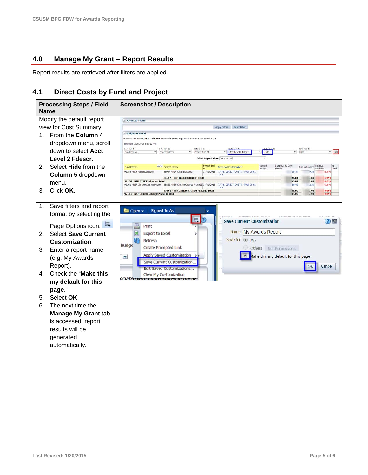### **4.0 Manage My Grant – Report Results**

Report results are retrieved after filters are applied.

### **4.1 Direct Costs by Fund and Project**